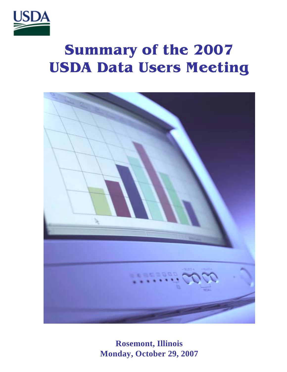

# **Summary of the 2007 USDA Data Users Meeting**



**Rosemont, Illinois Monday, October 29, 2007**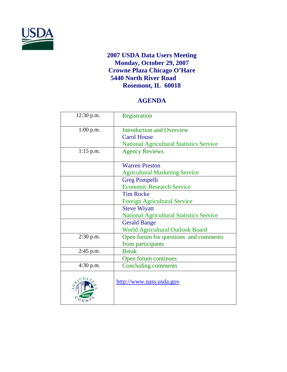

# **2007 USDA Data Users Meeting Monday, October 29, 2007 Crowne Plaza Chicago O'Hare 5440 North River Road Rosemont, IL 60018**

# **AGENDA**

| 12:30 p.m.  | Registration                                    |
|-------------|-------------------------------------------------|
|             |                                                 |
| $1:00$ p.m. | <b>Introduction and Overview</b>                |
|             | <b>Carol House</b>                              |
|             |                                                 |
|             | <b>National Agricultural Statistics Service</b> |
| $1:15$ p.m. | <b>Agency Reviews</b>                           |
|             | <b>Warren Preston</b>                           |
|             | <b>Agricultural Marketing Service</b>           |
|             | <b>Greg Pompelli</b>                            |
|             | <b>Economic Research Service</b>                |
|             | <b>Tim Rocke</b>                                |
|             | <b>Foreign Agricultural Service</b>             |
|             | <b>Steve Wiyatt</b>                             |
|             | <b>National Agricultural Statistics Service</b> |
|             | <b>Gerald Bange</b>                             |
|             | <b>World Agricultural Outlook Board</b>         |
| $2:30$ p.m. | Open forum for questions and comments           |
|             | from participants                               |
| 2:45 p.m.   | <b>Break</b>                                    |
|             | Open forum continues                            |
| 4:30 p.m.   | <b>Concluding comments</b>                      |
|             | http://www.nass.usda.gov                        |
|             |                                                 |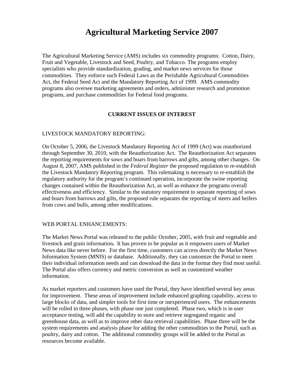# **Agricultural Marketing Service 2007**

The Agricultural Marketing Service (AMS) includes six commodity programs: Cotton, Dairy, Fruit and Vegetable, Livestock and Seed, Poultry, and Tobacco. The programs employ specialists who provide standardization, grading, and market news services for those commodities. They enforce such Federal Laws as the Perishable Agricultural Commodities Act, the Federal Seed Act and the Mandatory Reporting Act of 1999. AMS commodity programs also oversee marketing agreements and orders, administer research and promotion programs, and purchase commodities for Federal food programs.

## **CURRENT ISSUES OF INTEREST**

#### LIVESTOCK MANDATORY REPORTING:

On October 5, 2006, the Livestock Mandatory Reporting Act of 1999 (Act) was reauthorized through September 30, 2010, with the Reauthorization Act. The Reauthorization Act separates the reporting requirements for sows and boars from barrows and gilts, among other changes. On August 8, 2007, AMS published in the *Federal Register* the proposed regulation to re-establish the Livestock Mandatory Reporting program. This rulemaking is necessary to re-establish the regulatory authority for the program's continued operation, incorporate the swine reporting changes contained within the Reauthorization Act, as well as enhance the programs overall effectiveness and efficiency. Similar to the statutory requirement to separate reporting of sows and boars from barrows and gilts, the proposed rule separates the reporting of steers and heifers from cows and bulls, among other modifications.

## WEB PORTAL ENHANCEMENTS:

The Market News Portal was released to the public October, 2005, with fruit and vegetable and livestock and grain information**.** It has proven to be popular as it empowers users of Market News data like never before. For the first time, customers can access directly the Market News Information System (MNIS) or database. Additionally, they can customize the Portal to meet their individual information needs and can download the data in the format they find most useful. The Portal also offers currency and metric conversion as well as customized weather information.

As market reporters and customers have used the Portal, they have identified several key areas for improvement. These areas of improvement include enhanced graphing capability, access to large blocks of data, and simpler tools for first time or inexperienced users. The enhancements will be rolled in three phases, with phase one just completed. Phase two, which is in user acceptance testing, will add the capability to store and retrieve segregated organic and greenhouse data, as well as to improve other data retrieval capabilities. Phase three will be the system requirements and analysis phase for adding the other commodities to the Portal, such as poultry, dairy and cotton. The additional commodity groups will be added to the Portal as resources become available.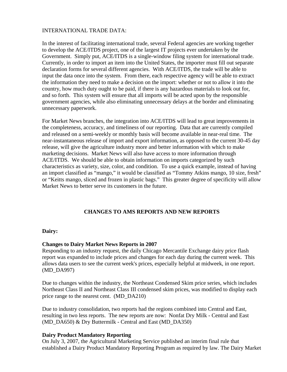#### INTERNATIONAL TRADE DATA:

In the interest of facilitating international trade, several Federal agencies are working together to develop the ACE/ITDS project, one of the largest IT projects ever undertaken by the Government. Simply put, ACE/ITDS is a single-window filing system for international trade. Currently, in order to import an item into the United States, the importer must fill out separate declaration forms for several different agencies. With ACE/ITDS, the trade will be able to input the data once into the system. From there, each respective agency will be able to extract the information they need to make a decision on the import: whether or not to allow it into the country, how much duty ought to be paid, if there is any hazardous materials to look out for, and so forth. This system will ensure that all imports will be acted upon by the responsible government agencies, while also eliminating unnecessary delays at the border and eliminating unnecessary paperwork.

For Market News branches, the integration into ACE/ITDS will lead to great improvements in the completeness, accuracy, and timeliness of our reporting. Data that are currently compiled and released on a semi-weekly or monthly basis will become available in near-real time. The near-instantaneous release of import and export information, as opposed to the current 30-45 day release, will give the agriculture industry more and better information with which to make marketing decisions. Market News will also have access to more information through ACE/ITDS. We should be able to obtain information on imports categorized by such characteristics as variety, size, color, and condition. To use a quick example, instead of having an import classified as "mango," it would be classified as "Tommy Atkins mango, 10 size, fresh" or "Keitts mango, sliced and frozen in plastic bags." This greater degree of specificity will allow Market News to better serve its customers in the future.

## **CHANGES TO AMS REPORTS AND NEW REPORTS**

#### **Dairy:**

## **Changes to Dairy Market News Reports in 2007**

Responding to an industry request, the daily Chicago Mercantile Exchange dairy price flash report was expanded to include prices and changes for each day during the current week. This allows data users to see the current week's prices, especially helpful at midweek, in one report. (MD\_DA997)

Due to changes within the industry, the Northeast Condensed Skim price series, which includes Northeast Class II and Northeast Class III condensed skim prices, was modified to display each price range to the nearest cent. (MD\_DA210)

Due to industry consolidation, two reports had the regions combined into Central and East, resulting in two less reports. The new reports are now: Nonfat Dry Milk - Central and East (MD\_DA650) & Dry Buttermilk - Central and East (MD\_DA350)

## **Dairy Product Mandatory Reporting**

On July 3, 2007, the Agricultural Marketing Service published an interim final rule that established a Dairy Product Mandatory Reporting Program as required by law. The Dairy Market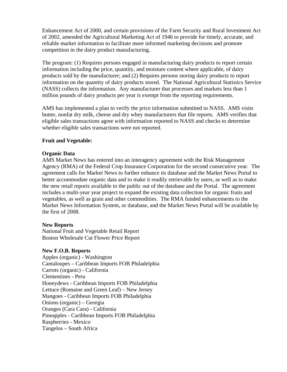Enhancement Act of 2000, and certain provisions of the Farm Security and Rural Investment Act of 2002, amended the Agricultural Marketing Act of 1946 to provide for timely, accurate, and reliable market information to facilitate more informed marketing decisions and promote competition in the dairy product manufacturing.

The program: (1) Requires persons engaged in manufacturing dairy products to report certain information including the price, quantity, and moisture content where applicable, of dairy products sold by the manufacturer; and (2) Requires persons storing dairy products to report information on the quantity of dairy products stored. The National Agricultural Statistics Service (NASS) collects the information. Any manufacturer that processes and markets less than 1 million pounds of dairy products per year is exempt from the reporting requirements.

AMS has implemented a plan to verify the price information submitted to NASS. AMS visits butter, nonfat dry milk, cheese and dry whey manufacturers that file reports. AMS verifies that eligible sales transactions agree with information reported to NASS and checks to determine whether eligible sales transactions were not reported.

# **Fruit and Vegetable:**

# **Organic Data**

AMS Market News has entered into an interagency agreement with the Risk Management Agency (RMA) of the Federal Crop Insurance Corporation for the second consecutive year. The agreement calls for Market News to further enhance its database and the Market News Portal to better accommodate organic data and to make it readily retrievable by users, as well as to make the new retail reports available to the public out of the database and the Portal. The agreement includes a multi-year year project to expand the existing data collection for organic fruits and vegetables, as well as grain and other commodities. The RMA funded enhancements to the Market News Information System, or database, and the Market News Portal will be available by the first of 2008.

## **New Reports**

National Fruit and Vegetable Retail Report Boston Wholesale Cut Flower Price Report

## **New F.O.B. Reports**

Apples (organic) - Washington Cantaloupes – Caribbean Imports FOB Philadelphia Carrots (organic) - California Clementines - Peru Honeydews - Caribbean Imports FOB Philadelphia Lettuce (Romaine and Green Leaf) – New Jersey Mangoes - Caribbean Imports FOB Philadelphia Onions (organic) – Georgia Oranges (Cara Cara) - California Pineapples - Caribbean Imports FOB Philadelphia Raspberries - Mexico Tangelos – South Africa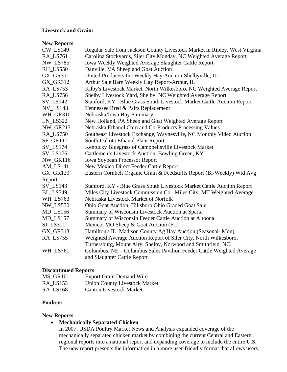#### **Livestock and Grain:**

# **New Reports**

| <b>CW_LS149</b>       | Regular Sale from Jackson County Livestock Market in Ripley, West Virginia |
|-----------------------|----------------------------------------------------------------------------|
| RA_LS761              | Carolina Stockyards, Siler City Monday, NC Weighted Average Report         |
| <b>NW_LS785</b>       | Iowa Weekly Weighted Average Slaughter Cattle Report                       |
| RH_LS550              | Danville, VA Sheep and Goat Auction                                        |
| GX_GR311              | United Producers Inc Weekly Hay Auction-Shelbyville, IL                    |
| <b>GX_GR312</b>       | Arthur Sale Barn Weekly Hay Report-Arthur, IL                              |
| RA_LS753              | Kilby's Livestock Market, North Wilkesboro, NC Weighted Average Report     |
| RA_LS756              | Shelby Livestock Yard, Shelby, NC Weighted Average Report                  |
| <b>SV_LS142</b>       | Stanford, KY - Blue Grass South Livestock Market Cattle Auction Report     |
| <b>NV_LS143</b>       | Tennessee Bred & Pairs Replacement                                         |
| WH_GR310              | Nebraska/Iowa Hay Summary                                                  |
| <b>LN_LS322</b>       | New Holland, PA Sheep and Goat Weighted Average Report                     |
| <b>NW_GR213</b>       | Nebraska Ethanol Corn and Co-Products Processing Values                    |
| RA_LS750              | Southeast Livestock Exchange, Waynesville, NC Monthly Video Auction        |
| SF_GR111              | South Dakota Ethanol Plant Report                                          |
| $SV$ <sub>LS174</sub> | Kentucky Bluegrass of Campbellsville Livestock Market                      |
| <b>SV_LS176</b>       | Cattlemen's Livestock Auction, Bowling Green, KY                           |
| <b>NW_GR116</b>       | <b>Iowa Soybean Processor Report</b>                                       |
| AM_LS141              | New Mexico Direct Feeder Cattle Report                                     |
| GX_GR120              | Eastern Cornbelt Organic Grain & Feedstuffs Report (Bi-Weekly) Wtd Avg     |
| Report                |                                                                            |
| <b>SV_LS143</b>       | Stanford, KY - Blue Grass South Livestock Market Cattle Auction Report     |
| <b>BL_LS749</b>       | Miles City Livestock Commission Co. Miles City, MT Weighted Average        |
| WH LS763              | Nebraska Livestock Market of Norfolk                                       |
| <b>NW_LS550</b>       | Ohio Goat Auction, Hillsboro Ohio Graded Goat Sale                         |
| $MD$ <sub>LS156</sub> | Summary of Wisconsin Livestock Auction at Sparta                           |
| $MD$ <sub>LS157</sub> | Summary of Wisconsin Feeder Cattle Auction at Altoona                      |
| $SI$ <sub>LS311</sub> | Mexico, MO Sheep & Goat Auction (Fri)                                      |
| GX_GR313              | Hamilton's IL, Madison County Ag Hay Auction (Seasonal-Mon)                |
| RA_LS755              | Weighted Average Auction Report of Siler City, North Wilkesboro,           |
|                       | Turnersburg, Mount Airy, Shelby, Norwood and Smithfield, NC.               |
| WH_LS761              | Columbus, NE - Columbus Sales Pavilion Feeder Cattle Weighted Average      |
|                       | and Slaughter Cattle Report                                                |

# **Discontinued Reports**

| MS GR101 | <b>Export Grain Demand Wire</b>      |
|----------|--------------------------------------|
| RA LS153 | <b>Union County Livestock Market</b> |
| RA LS168 | <b>Canton Livestock Market</b>       |

# **Poultry:**

## **New Reports**

• **Mechanically Separated Chicken** 

In 2007, USDA Poultry Market News and Analysis expanded coverage of the mechanically separated chicken market by combining the current Central and Eastern regional reports into a national report and expanding coverage to include the entire U.S. The new report presents the information in a more user-friendly format that allows users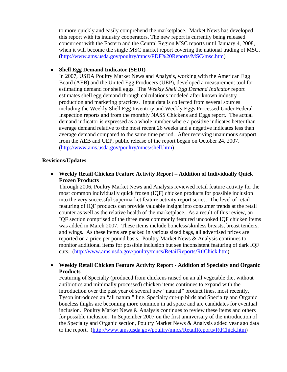to more quickly and easily comprehend the marketplace. Market News has developed this report with its industry cooperators. The new report is currently being released concurrent with the Eastern and the Central Region MSC reports until January 4, 2008, when it will become the single MSC market report covering the national trading of MSC. ([http://www.ams.usda.gov/poultry/mncs/PDF%20Reports/MSC/msc.htm](http://www.ams.usda.gov/poultry/mncs/PDF Reports/MSC/msc.htm))

## • **Shell Egg Demand Indicator (SEDI)**

In 2007, USDA Poultry Market News and Analysis, working with the American Egg Board (AEB) and the United Egg Producers (UEP), developed a measurement tool for estimating demand for shell eggs. The *Weekly Shell Egg Demand Indicator* report estimates shell egg demand through calculations modeled after known industry production and marketing practices. Input data is collected from several sources including the Weekly Shell Egg Inventory and Weekly Eggs Processed Under Federal Inspection reports and from the monthly NASS Chickens and Eggs report. The actual demand indicator is expressed as a whole number where a positive indicates better than average demand relative to the most recent 26 weeks and a negative indicates less than average demand compared to the same time period. After receiving unanimous support from the AEB and UEP, public release of the report began on October 24, 2007. (<http://www.ams.usda.gov/poultry/mncs/shell.htm>)

## **Revisions/Updates**

• **Weekly Retail Chicken Feature Activity Report – Addition of Individually Quick Frozen Products** 

Through 2006, Poultry Market News and Analysis reviewed retail feature activity for the most common individually quick frozen (IQF) chicken products for possible inclusion into the very successful supermarket feature activity report series. The level of retail featuring of IQF products can provide valuable insight into consumer trends at the retail counter as well as the relative health of the marketplace. As a result of this review, an IQF section comprised of the three most commonly featured uncooked IQF chicken items was added in March 2007. These items include boneless/skinless breasts, breast tenders, and wings. As these items are packed in various sized bags, all advertised prices are reported on a price per pound basis. Poultry Market News & Analysis continues to monitor additional items for possible inclusion but see inconsistent featuring of dark IQF cuts. [\(http://www.ams.usda.gov/poultry/mncs/RetailReports/RtlChick.htm\)](http://www.ams.usda.gov/poultry/mncs/RetailReports/RtlChick.htm)

# • **Weekly Retail Chicken Feature Activity Report - Addition of Specialty and Organic Products**

Featuring of Specialty (produced from chickens raised on an all vegetable diet without antibiotics and minimally processed) chicken items continues to expand with the introduction over the past year of several new "natural" product lines, most recently, Tyson introduced an "all natural" line. Specialty cut-up birds and Specialty and Organic boneless thighs are becoming more common in ad space and are candidates for eventual inclusion. Poultry Market News & Analysis continues to review these items and others for possible inclusion. In September 2007 on the first anniversary of the introduction of the Specialty and Organic section, Poultry Market News & Analysis added year ago data to the report. ([http://www.ams.usda.gov/poultry/mncs/RetailReports/RtlChick.htm\)](http://www.ams.usda.gov/poultry/mncs/RetailReports/RtlChick.htm)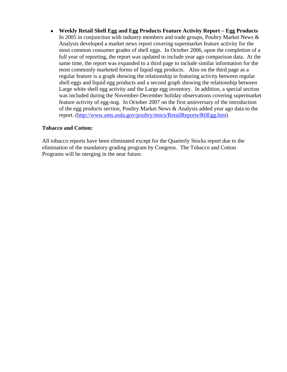• **Weekly Retail Shell Egg and Egg Products Feature Activity Report – Egg Products**  In 2005 in conjunction with industry members and trade groups, Poultry Market News & Analysis developed a market news report covering supermarket feature activity for the most common consumer grades of shell eggs. In October 2006, upon the completion of a full year of reporting, the report was updated to include year ago comparison data. At the same time, the report was expanded to a third page to include similar information for the most commonly marketed forms of liquid egg products. Also on the third page as a regular feature is a graph showing the relationship in featuring activity between regular shell eggs and liquid egg products and a second graph showing the relationship between Large white shell egg activity and the Large egg inventory. In addition, a special section was included during the November-December holiday observations covering supermarket feature activity of egg-nog. In October 2007 on the first anniversary of the introduction of the egg products section, Poultry Market News & Analysis added year ago data to the report. ([http://www.ams.usda.gov/poultry/mncs/RetailReports/RtlEgg.htm\)](http://www.ams.usda.gov/poultry/mncs/RetailReports/RtlEgg.htm)

# **Tobacco and Cotton:**

All tobacco reports have been eliminated except for the Quarterly Stocks report due to the elimination of the mandatory grading program by Congress. The Tobacco and Cotton Programs will be merging in the near future.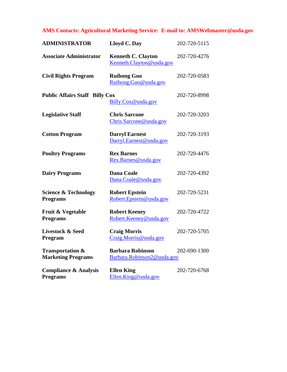# **AMS Contacts: Agricultural Marketing Service: E-mail to: AMSWebmaster@usda.gov**

| <b>ADMINISTRATOR</b>                                     | Lloyd C. Day                                          | 202-720-5115 |
|----------------------------------------------------------|-------------------------------------------------------|--------------|
| <b>Associate Administrator</b>                           | <b>Kenneth C. Clayton</b><br>Kenneth.Clayton@usda.gov | 202-720-4276 |
| <b>Civil Rights Program</b>                              | <b>Ruihong Guo</b><br>Ruihong.Guo@usda.gov            | 202-720-0583 |
| <b>Public Affairs Staff Billy Cox</b>                    | Billy.Cox@usda.gov                                    | 202-720-8998 |
| <b>Legislative Staff</b>                                 | <b>Chris Sarcone</b><br>Chris.Sarcone@usda.gov        | 202-720-3203 |
| <b>Cotton Program</b>                                    | <b>Darryl Earnest</b><br>Darryl.Earnest@usda.gov      | 202-720-3193 |
| <b>Poultry Programs</b>                                  | <b>Rex Barnes</b><br>Rex.Barnes@usda.gov              | 202-720-4476 |
| <b>Dairy Programs</b>                                    | <b>Dana Coale</b><br>Dana.Coale@usda.gov              | 202-720-4392 |
| <b>Science &amp; Technology</b><br><b>Programs</b>       | <b>Robert Epstein</b><br>Robert.Epstein@usda.gov      | 202-720-5231 |
| Fruit & Vegetable<br><b>Programs</b>                     | <b>Robert Keeney</b><br>Robert.Keeney@usda.gov        | 202-720-4722 |
| <b>Livestock &amp; Seed</b><br>Program                   | <b>Craig Morris</b><br>Craig.Morris@usda.gov          | 202-720-5705 |
| <b>Transportation &amp;</b><br><b>Marketing Programs</b> | <b>Barbara Robinson</b><br>Barbara.Robinson2@usda.gov | 202-690-1300 |
| <b>Compliance &amp; Analysis</b><br><b>Programs</b>      | <b>Ellen King</b><br>Ellen.King@usda.gov              | 202-720-6768 |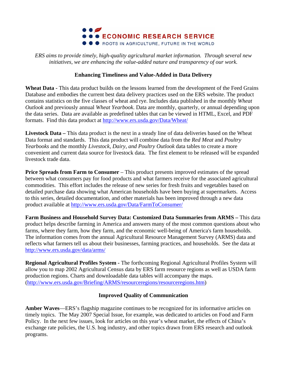

*ERS aims to provide timely, high-quality agricultural market information. Through several new initiatives, we are enhancing the value-added nature and transparency of our work.* 

# **Enhancing Timeliness and Value-Added in Data Delivery**

**Wheat Data -** This data product builds on the lessons learned from the development of the Feed Grains Database and embodies the current best data delivery practices used on the ERS website. The product contains statistics on the five classes of wheat and rye. Includes data published in the monthly *Wheat Outlook* and previously annual *Wheat Yearbook*. Data are monthly, quarterly, or annual depending upon the data series. Data are available as predefined tables that can be viewed in HTML, Excel, and PDF formats. Find this data product at<http://www.ers.usda.gov/Data/Wheat/>

**Livestock Data –** This data product is the next in a steady line of data deliveries based on the Wheat Data format and standards. This data product will combine data from the *Red Meat* and *Poultry Yearbooks* and the monthly *Livestock, Dairy, and Poultry Outlook* data tables to create a more convenient and current data source for livestock data. The first element to be released will be expanded livestock trade data.

**Price Spreads from Farm to Consumer** – This product presents improved estimates of the spread between what consumers pay for food products and what farmers receive for the associated agricultural commodities. This effort includes the release of new series for fresh fruits and vegetables based on detailed purchase data showing what American households have been buying at supermarkets. Access to this series, detailed documentation, and other materials has been improved through a new data product available at <http://www.ers.usda.gov/Data/FarmToConsumer/>

**Farm Business and Household Survey Data: Customized Data Summaries from ARMS –** This data product helps describe farming in America and answers many of the most common questions about who farms, where they farm, how they farm, and the economic well-being of America's farm households. The information comes from the annual Agricultural Resource Management Survey (ARMS) data and reflects what farmers tell us about their businesses, farming practices, and households. See the data at <http://www.ers.usda.gov/data/arms/>

**Regional Agricultural Profiles System -** The forthcoming Regional Agricultural Profiles System will allow you to map 2002 Agricultural Census data by ERS farm resource regions as well as USDA farm production regions. Charts and downloadable data tables will accompany the maps. ([http://www.ers.usda.gov/Briefing/ARMS/resourceregions/resourceregions.htm\)](http://www.ers.usda.gov/Briefing/ARMS/resourceregions/resourceregions.htm)

# **Improved Quality of Communication**

**Amber Waves**—ERS's flagship magazine continues to be recognized for its informative articles on timely topics. The May 2007 Special Issue, for example, was dedicated to articles on Food and Farm Policy. In the next few issues, look for articles on this year's wheat market, the effects of China's exchange rate policies, the U.S. hog industry, and other topics drawn from ERS research and outlook programs.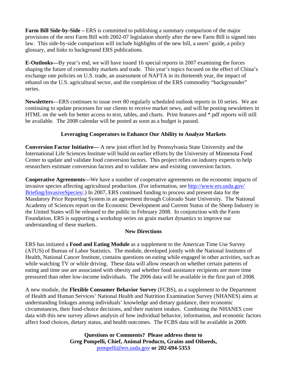**Farm Bill Side-by-Side –** ERS is committed to publishing a summary comparison of the major provisions of the next Farm Bill with 2002-07 legislation shortly after the new Farm Bill is signed into law. This side-by-side comparison will include highlights of the new bill, a users' guide, a policy glossary, and links to background ERS publications.

**E-Outlooks—**By year's end, we will have issued 16 special reports in 2007 examining the forces shaping the future of commodity markets and trade. This year's topics focused on the effect of China's exchange rate policies on U.S. trade, an assessment of NAFTA in its thirteenth year, the impact of ethanol on the U.S. agricultural sector, and the completion of the ERS commodity "backgrounder" series.

**Newsletters**—ERS continues to issue over 80 regularly scheduled outlook reports in 10 series. We are continuing to update processes for our clients to receive market news, and will be posting newsletters in HTML on the web for better access to text, tables, and charts. Print features and \*.pdf reports will still be available. The 2008 calendar will be posted as soon as a budget is passed.

# **Leveraging Cooperators to Enhance Our Ability to Analyze Markets**

**Conversion Factor Initiative—** A new joint effort led by Pennsylvania State University and the International Life Sciences Institute will build on earlier efforts by the University of Minnesota Food Center to update and validate food conversion factors. This project relies on industry experts to help researchers estimate conversion factors and to validate new and existing conversion factors.

**Cooperative Agreements—**We have a number of cooperative agreements on the economic impacts of invasive species affecting agricultural production. (For information, see<http://www.ers.usda.gov/> Briefing/InvasiveSpecies/.) In 2007, ERS continued funding to process and present data for the Mandatory Price Reporting System in an agreement through Colorado State University. The National Academy of Sciences report on the Economic Development and Current Status of the Sheep Industry in the United States will be released to the public in February 2008. In conjunction with the Farm Foundation, ERS is supporting a workshop series on grain market dynamics to improve our understanding of these markets.

# **New Directions**

ERS has initiated a **Food and Eating Module** as a supplement to the American Time Use Survey (ATUS) of Bureau of Labor Statistics. The module, developed jointly with the National Institutes of Health, National Cancer Institute, contains questions on eating while engaged in other activities, such as while watching TV or while driving. These data will allow research on whether certain patterns of eating and time use are associated with obesity and whether food assistance recipients are more time pressured than other low-income individuals. The 2006 data will be available in the first part of 2008.

A new module, the **Flexible Consumer Behavior Survey** (FCBS), as a supplement to the Department of Health and Human Services' National Health and Nutrition Examination Survey (NHANES) aims at understanding linkages among individuals' knowledge and dietary guidance, their economic circumstances, their food-choice decisions, and their nutrient intakes. Combining the NHANES core data with this new survey allows analysis of how individual behavior, information, and economic factors affect food choices, dietary status, and health outcomes. The FCBS data will be available in 2009.

> **Questions or Comments? Please address them to Greg Pompelli, Chief, Animal Products, Grains and Oilseeds,**  [pompelli@ers.usda.gov](mailto:pompelli@ers.usda.gov) **or 202-694-5353**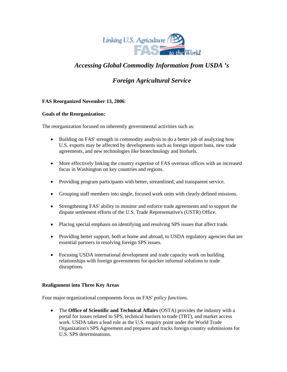

# *Accessing Global Commodity Information from USDA 's*

# *Foreign Agricultural Service*

## **FAS Reorganized November 13, 2006**:

#### **Goals of the Reorganization:**

The reorganization focused on inherently governmental activities such as:

- Building on FAS' strength in commodity analysis to do a better job of analyzing how U.S. exports may be affected by developments such as foreign import bans, new trade agreements, and new technologies like biotechnology and biofuels.
- More effectively linking the country expertise of FAS overseas offices with an increased focus in Washington on key countries and regions.
- Providing program participants with better, streamlined, and transparent service.
- Grouping staff members into single, focused work units with clearly defined missions.
- Strengthening FAS' ability to monitor and enforce trade agreements and to support the dispute settlement efforts of the U.S. Trade Representative's (USTR) Office.
- Placing special emphasis on identifying and resolving SPS issues that affect trade.
- Providing better support, both at home and abroad, to USDA regulatory agencies that are essential partners in resolving foreign SPS issues.
- Focusing USDA international development and trade capacity work on building relationships with foreign governments for quicker informal solutions to trade disruptions.

#### **Realignment into Three Key Areas**

Four major organizational components focus on FAS' *policy functions*.

• The **Office of Scientific and Technical Affairs** (OSTA) provides the industry with a portal for issues related to SPS, technical barriers to trade (TBT), and market access work. USDA takes a lead role as the U.S. enquiry point under the World Trade Organization's SPS Agreement and prepares and tracks foreign country submissions for U.S. SPS determinations.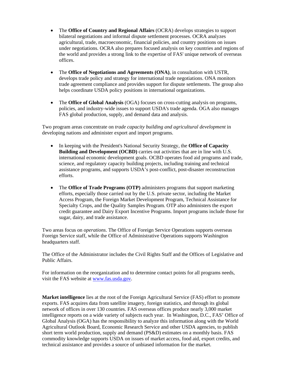- The **Office of Country and Regional Affairs** (OCRA) develops strategies to support bilateral negotiations and informal dispute settlement processes. OCRA analyzes agricultural, trade, macroeconomic, financial policies, and country positions on issues under negotiations. OCRA also prepares focused analysis on key countries and regions of the world and provides a strong link to the expertise of FAS' unique network of overseas offices.
- The **Office of Negotiations and Agreements (ONA)**, in consultation with USTR, develops trade policy and strategy for international trade negotiations. ONA monitors trade agreement compliance and provides support for dispute settlements. The group also helps coordinate USDA policy positions in international organizations.
- The **Office of Global Analysis** (OGA) focuses on cross-cutting analysis on programs, policies, and industry-wide issues to support USDA's trade agenda. OGA also manages FAS global production, supply, and demand data and analysis.

Two program areas concentrate on *trade capacity building and agricultural development* in developing nations and administer export and import programs.

- In keeping with the President's National Security Strategy, the **Office of Capacity Building and Development (OCBD)** carries out activities that are in line with U.S. international economic development goals. OCBD operates food aid programs and trade, science, and regulatory capacity building projects, including training and technical assistance programs, and supports USDA's post-conflict, post-disaster reconstruction efforts.
- The **Office of Trade Programs (OTP)** administers programs that support marketing efforts, especially those carried out by the U.S. private sector, including the Market Access Program, the Foreign Market Development Program, Technical Assistance for Specialty Crops, and the Quality Samples Program. OTP also administers the export credit guarantee and Dairy Export Incentive Programs. Import programs include those for sugar, dairy, and trade assistance.

Two areas focus on *operations*. The Office of Foreign Service Operations supports overseas Foreign Service staff, while the Office of Administrative Operations supports Washington headquarters staff.

The Office of the Administrator includes the Civil Rights Staff and the Offices of Legislative and Public Affairs.

For information on the reorganization and to determine contact points for all programs needs, visit the FAS website at [www.fas.usda.gov](http://www.fas.usda.gov/).

**Market intelligence** lies at the root of the Foreign Agricultural Service (FAS) effort to promote exports. FAS acquires data from satellite imagery, foreign statistics, and through its global network of offices in over 130 countries. FAS overseas offices produce nearly 3,000 market intelligence reports on a wide variety of subjects each year. In Washington, D.C., FAS' Office of Global Analysis (OGA) has the responsibility to analyze this information along with the World Agricultural Outlook Board, Economic Research Service and other USDA agencies, to publish short term world production, supply and demand (PS&D) estimates on a monthly basis. FAS commodity knowledge supports USDA on issues of market access, food aid, export credits, and technical assistance and provides a source of unbiased information for the market.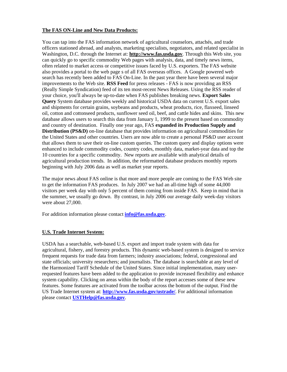#### **The FAS ON-Line and New Data Products:**

You can tap into the FAS information network of agricultural counselors, attachés, and trade officers stationed abroad, and analysts, marketing specialists, negotiators, and related specialist in Washington, D.C. through the Internet at: **http://www.fas.usda.gov**. Through this Web site, you can quickly go to specific commodity Web pages with analysis, data, and timely news items, often related to market access or competitive issues faced by U.S. exporters. The FAS website also provides a portal to the web page s of all FAS overseas offices. A Google powered web search has recently been added to FAS On-Line. In the past year there have been several major improvements to the Web site. **RSS Feed** for press releases - FAS is now providing an RSS (Really Simple Syndication) feed of its ten most-recent News Releases. Using the RSS reader of your choice, you'll always be up-to-date when FAS publishes breaking news. **Export Sales Query** System database provides weekly and historical USDA data on current U.S. export sales and shipments for certain grains, soybeans and products, wheat products, rice, flaxseed, linseed oil, cotton and cottonseed products, sunflower seed oil, beef, and cattle hides and skins. This new database allows users to search this data from January 1, 1999 to the present based on commodity and country of destination. Finally one year ago, FAS **expanded its Production Supply and Distribution (PS&D)** on-line database that provides information on agricultural commodities for the United States and other countries. Users are now able to create a personal PS&D user account that allows them to save their on-line custom queries. The custom query and display options were enhanced to include commodity codes, country codes, monthly data, market-year data and top the 10 countries for a specific commodity. New reports are available with analytical details of agricultural production trends. In addition, the reformatted database produces monthly reports beginning with July 2006 data as well as market year reports.

The major news about FAS online is that more and more people are coming to the FAS Web site to get the information FAS produces. In July 2007 we had an all-time high of some 44,000 visitors per week day with only 5 percent of them coming from inside FAS. Keep in mind that in the summer, we usually go down. By contrast, in July 2006 our average daily week-day visitors were about 27,000.

For addition information please contact **[info@fas.usda.gov](mailto:info@fas.usda.gov)**.

#### **U.S. Trade Internet System:**

USDA has a searchable, web-based U.S. export and import trade system with data for agricultural, fishery, and forestry products. This dynamic web-based system is designed to service frequent requests for trade data from farmers; industry associations; federal, congressional and state officials; university researchers; and journalists. The database is searchable at any level of the Harmonized Tariff Schedule of the United States. Since initial implementation, many userrequested features have been added to the application to provide increased flexibility and enhance system capability. Clicking on areas within the body of the report accesses some of these new features. Some features are activated from the toolbar across the bottom of the output. Find the US Trade Internet system at: **<http://www.fas.usda.gov/ustrade/>**. For additional information please contact **[USTHelp@fas.usda.gov](mailto:USTHelp@fas.usda.gov)**.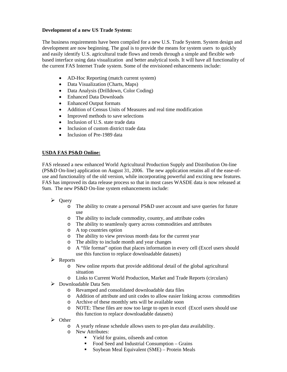#### **Development of a new US Trade System:**

The business requirements have been compiled for a new U.S. Trade System. System design and development are now beginning. The goal is to provide the means for system users to quickly and easily identify U.S. agricultural trade flows and trends through a simple and flexible web based interface using data visualization and better analytical tools. It will have all functionality of the current FAS Internet Trade system. Some of the envisioned enhancements include:

- AD-Hoc Reporting (match current system)
- Data Visualization (Charts, Maps)
- Data Analysis (Drilldown, Color Coding)
- Enhanced Data Downloads
- Enhanced Output formats
- Addition of Census Units of Measures and real time modification
- Improved methods to save selections
- Inclusion of U.S. state trade data
- Inclusion of custom district trade data
- Inclusion of Pre-1989 data

# **USDA FAS PS&D Online:**

FAS released a new enhanced World Agricultural Production Supply and Distribution On-line (PS&D On-line) application on August 31, 2006. The new application retains all of the ease-ofuse and functionality of the old version, while incorporating powerful and exciting new features. FAS has improved its data release process so that in most cases WASDE data is now released at 9am. The new PS&D On-line system enhancements include:

- $\triangleright$  Query
	- o The ability to create a personal PS&D user account and save queries for future use
	- o The ability to include commodity, country, and attribute codes
	- o The ability to seamlessly query across commodities and attributes
	- o A top countries option
	- o The ability to view previous month data for the current year
	- o The ability to include month and year changes
	- o A "file format" option that places information in every cell (Excel users should use this function to replace downloadable datasets)
- ¾ Reports
	- o New online reports that provide additional detail of the global agricultural situation
	- o Links to Current World Production, Market and Trade Reports (circulars)
- $\triangleright$  Downloadable Data Sets
	- o Revamped and consolidated downloadable data files
	- o Addition of attribute and unit codes to allow easier linking across commodities
	- o Archive of these monthly sets will be available soon
	- o NOTE: These files are now too large to open in excel (Excel users should use this function to replace downloadable datasets)
- ¾ Other
	- o A yearly release schedule allows users to pre-plan data availability.
	- o New Attributes:
		- Yield for grains, oilseeds and cotton
		- Food Seed and Industrial Consumption Grains
		- Soybean Meal Equivalent (SME) Protein Meals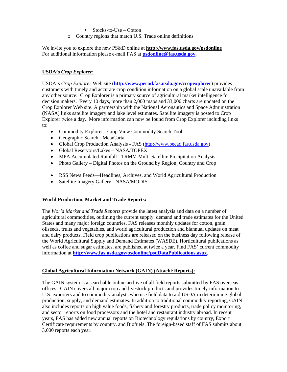$\blacksquare$  Stocks-to-Use – Cotton

o Country regions that match U.S. Trade online definitions

We invite you to explore the new PS&D online at **http://www.fas.usda.gov/psdonline** For additional information please e-mail FAS at **[psdonline@fas.usda.gov](mailto:psdonline@fas.usda.gov).**

# **USDA's** *Crop Explorer***:**

USDA's *Crop Explorer* Web site (**<http://www.pecad.fas.usda.gov/cropexplorer>**) provides customers with timely and accurate crop condition information on a global scale unavailable from any other source. Crop Explorer is a primary source of agricultural market intelligence for decision makers. Every 10 days, more than 2,000 maps and 33,000 charts are updated on the Crop Explorer Web site. A partnership with the National Aeronautics and Space Administration (NASA) links satellite imagery and lake level estimates. Satellite imagery is posted to Crop Explorer twice a day. More information can now be found from Crop Explorer including links to:

- Commodity Explorer Crop View Commodity Search Tool
- Geographic Search MetaCarta
- Global Crop Production Analysis FAS ([http://www.pecad.fas.usda.gov\)](http://www.pecad.fas.usda.gov/)
- Global Reservoirs/Lakes NASA/TOPEX
- MPA Accumulated Rainfall TRMM Multi-Satellite Precipitation Analysis
- Photo Gallery Digital Photos on the Ground by Region, Country and Crop
- RSS News Feeds—Headlines, Archives, and World Agricultural Production
- Satellite Imagery Gallery NASA/MODIS

## **World Production, Market and Trade Reports:**

The *World Market and Trade Reports* provide the latest analysis and data on a number of agricultural commodities, outlining the current supply, demand and trade estimates for the United States and many major foreign countries. FAS releases monthly updates for cotton, grain, oilseeds, fruits and vegetables, and world agricultural production and biannual updates on meat and dairy products. Field crop publications are released on the business day following release of the World Agricultural Supply and Demand Estimates (WASDE). Horticultural publications as well as coffee and sugar estimates, are published at twice a year. Find FAS' current commodity information at **<http://www.fas.usda.gov/psdonline/psdDataPublications.aspx>**.

## **Global Agricultural Information Network (GAIN) (Attaché Reports):**

The GAIN system is a searchable online archive of all field reports submitted by FAS overseas offices. GAIN covers all major crop and livestock products and provides timely information to U.S. exporters and to commodity analysts who use field data to aid USDA in determining global production, supply, and demand estimates. In addition to traditional commodity reporting, GAIN also includes reports on high value foods, fishery and forestry products, trade policy monitoring, and sector reports on food processors and the hotel and restaurant industry abroad. In recent years, FAS has added new annual reports on Biotechnology regulations by country, Export Certificate requirements by country, and Biofuels. The foreign-based staff of FAS submits about 3,000 reports each year.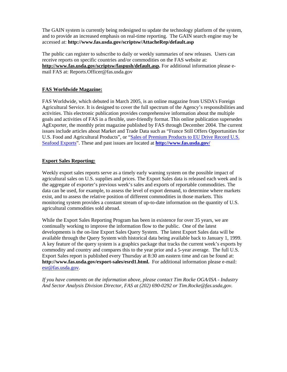The GAIN system is currently being redesigned to update the technology platform of the system, and to provide an increased emphasis on real-time reporting. The GAIN search engine may be accessed at: **http://www.fas.usda.gov/scriptsw/AttacheRep/default.asp** 

The public can register to subscribe to daily or weekly summaries of new releases. Users can receive reports on specific countries and/or commodities on the FAS website at: **http://www.fas.usda.gov/scriptsw/faspush/default.asp.** For additional information please email FAS at: Reports.Officer@fas.usda.gov

#### **FAS Worldwide Magazine:**

FAS Worldwide, which debuted in March 2005, is an online magazine from USDA's Foreign Agricultural Service. It is designed to cover the full spectrum of the Agency's responsibilities and activities. This electronic publication provides comprehensive information about the multiple goals and activities of FAS in a flexible, user-friendly format. This online publication supersedes AgExporter, the monthly print magazine published by FAS through December 2004. The current issues include articles about Market and Trade Data such as "France Still Offers Opportunities for U.S. Food and Agricultural Products", or "[Sales of Premium Products to EU Drive Record U.S.](http://www.fas.usda.gov/info/fasworldwide/2007/03-2007/EUSeafood.htm)  [Seafood Exports](http://www.fas.usda.gov/info/fasworldwide/2007/03-2007/EUSeafood.htm)". These and past issues are located at **<http://www.fas.usda.gov/>**

#### **Export Sales Reporting:**

Weekly export sales reports serve as a timely early warning system on the possible impact of agricultural sales on U.S. supplies and prices. The Export Sales data is released each week and is the aggregate of exporter's previous week's sales and exports of reportable commodities. The data can be used, for example, to assess the level of export demand, to determine where markets exist, and to assess the relative position of different commodities in those markets. This monitoring system provides a constant stream of up-to-date information on the quantity of U.S. agricultural commodities sold abroad.

While the Export Sales Reporting Program has been in existence for over 35 years, we are continually working to improve the information flow to the public. One of the latest developments is the on-line Export Sales Query System. The latest Export Sales data will be available through the Query System with historical data being available back to January 1, 1999. A key feature of the query system is a graphics package that tracks the current week's exports by commodity and country and compares this to the year prior and a 5-year average. The full U.S. Export Sales report is published every Thursday at 8:30 am eastern time and can be found at: **http://www.fas.usda.gov/export-sales/esrd1.html.** For additional information please e-mail: [esr@fas.usda.gov.](mailto:esr@fas.usda.gov)

*If you have comments on the information above, please contact Tim Rocke OGA/ISA - Industry And Sector Analysis Division Director, FAS at (202) 690-0292 or Tim.Rocke@fas.usda,gov.*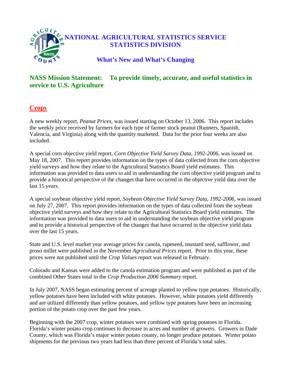

# **NASS Mission Statement: To provide timely, accurate, and useful statistics in service to U.S. Agriculture**

# **Crops**

A new weekly report, *Peanut Prices*, was issued starting on October 13, 2006. This report includes the weekly price received by farmers for each type of farmer stock peanut (Runners, Spanish, Valencia, and Virginia) along with the quantity marketed. Data for the prior four weeks are also included.

A special corn objective yield report, *Corn Objective Yield Survey Data, 1992-2006,* was issued on May 18, 2007. This report provides information on the types of data collected from the corn objective yield surveys and how they relate to the Agricultural Statistics Board yield estimates. This information was provided to data users to aid in understanding the corn objective yield program and to provide a historical perspective of the changes that have occurred in the objective yield data over the last 15 years.

A special soybean objective yield report, *Soybean Objective Yield Survey Data, 1992-2006,* was issued on July 27, 2007. This report provides information on the types of data collected from the soybean objective yield surveys and how they relate to the Agricultural Statistics Board yield estimates. The information was provided to data users to aid in understanding the soybean objective yield program and to provide a historical perspective of the changes that have occurred in the objective yield data over the last 15 years.

State and U.S. level market year average prices for canola, rapeseed, mustard seed, safflower, and proso millet were published in the November *Agricultural Prices* report. Prior to this year, these prices were not published until the *Crop Values* report was released in February.

Colorado and Kansas were added to the canola estimation program and were published as part of the combined Other States total in the *Crop Production 2006 Summary* report.

In July 2007, NASS began estimating percent of acreage planted to yellow type potatoes. Historically, yellow potatoes have been included with white potatoes. However, white potatoes yield differently and are utilized differently than yellow potatoes, and yellow type potatoes have been an increasing portion of the potato crop over the past few years.

Beginning with the 2007 crop, winter potatoes were combined with spring potatoes in Florida. Florida's winter potato crop continues to decrease in acres and number of growers. Growers in Dade County, which was Florida's major winter potato county, no longer produce potatoes. Winter potato shipments for the previous two years had less than three percent of Florida's total sales.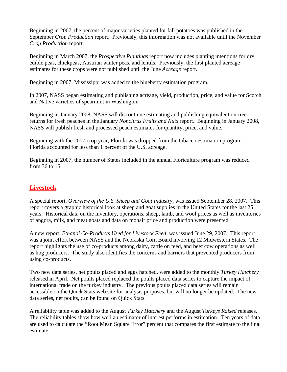Beginning in 2007, the percent of major varieties planted for fall potatoes was published in the September *Crop Production* report. Previously, this information was not available until the November *Crop Production* report.

Beginning in March 2007, the *Prospective Plantings* report now includes planting intentions for dry edible peas, chickpeas, Austrian winter peas, and lentils. Previously, the first planted acreage estimates for these crops were not published until the June *Acreage* report.

Beginning in 2007, Mississippi was added to the blueberry estimation program.

In 2007, NASS began estimating and publishing acreage, yield, production, price, and value for Scotch and Native varieties of spearmint in Washington.

Beginning in January 2008, NASS will discontinue estimating and publishing equivalent on-tree returns for fresh peaches in the January *Noncitrus Fruits and Nuts* report. Beginning in January 2008, NASS will publish fresh and processed peach estimates for quantity, price, and value.

Beginning with the 2007 crop year, Florida was dropped from the tobacco estimation program. Florida accounted for less than 1 percent of the U.S. acreage.

Beginning in 2007, the number of States included in the annual Floriculture program was reduced from 36 to 15.

# **Livestock**

A special report, *Overview of the U.S. Sheep and Goat Industry*, was issued September 28, 2007. This report covers a graphic historical look at sheep and goat supplies in the United States for the last 25 years. Historical data on the inventory, operations, sheep, lamb, and wool prices as well as inventories of angora, milk, and meat goats and data on mohair price and production were presented.

A new report, *Ethanol Co-Products Used for Livestock Feed*, was issued June 29, 2007. This report was a joint effort between NASS and the Nebraska Corn Board involving 12 Midwestern States. The report highlights the use of co-products among dairy, cattle on feed, and beef cow operations as well as hog producers. The study also identifies the concerns and barriers that prevented producers from using co-products.

Two new data series, net poults placed and eggs hatched, were added to the monthly *Turkey Hatchery* released in April. Net poults placed replaced the poults placed data series to capture the impact of international trade on the turkey industry. The previous poults placed data series will remain accessible on the Quick Stats web site for analysis purposes, but will no longer be updated. The new data series, net poults, can be found on Quick Stats.

A reliability table was added to the August *Turkey Hatchery* and the August *Turkeys Raised* releases. The reliability tables show how well an estimator of interest performs in estimation. Ten years of data are used to calculate the "Root Mean Square Error" percent that compares the first estimate to the final estimate.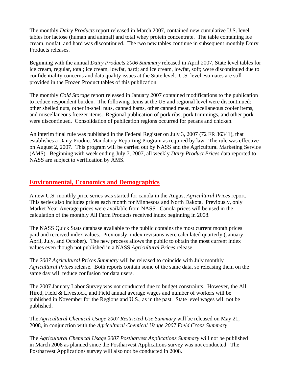The monthly *Dairy Products* report released in March 2007, contained new cumulative U.S. level tables for lactose (human and animal) and total whey protein concentrate. The table containing ice cream, nonfat, and hard was discontinued. The two new tables continue in subsequent monthly Dairy Products releases.

Beginning with the annual *Dairy Products 2006 Summary* released in April 2007, State level tables for ice cream, regular, total; ice cream, lowfat, hard; and ice cream, lowfat, soft; were discontinued due to confidentiality concerns and data quality issues at the State level. U.S. level estimates are still provided in the Frozen Product tables of this publication.

The monthly *Cold Storage* report released in January 2007 contained modifications to the publication to reduce respondent burden. The following items at the US and regional level were discontinued: other shelled nuts, other in-shell nuts, canned hams, other canned meat, miscellaneous cooler items, and miscellaneous freezer items. Regional publication of pork ribs, pork trimmings, and other pork were discontinued. Consolidation of publication regions occurred for pecans and chicken.

An interim final rule was published in the Federal Register on July 3, 2007 (72 FR 36341), that establishes a Dairy Product Mandatory Reporting Program as required by law. The rule was effective on August 2, 2007. This program will be carried out by NASS and the Agricultural Marketing Service (AMS). Beginning with week ending July 7, 2007, all weekly *Dairy Product Prices* data reported to NASS are subject to verification by AMS.

# **Environmental, Economics and Demographics**

A new U.S. monthly price series was started for canola in the August *Agricultural Prices* report. This series also includes prices each month for Minnesota and North Dakota. Previously, only Market Year Average prices were available from NASS. Canola prices will be used in the calculation of the monthly All Farm Products received index beginning in 2008.

The NASS Quick Stats database available to the public contains the most current month prices paid and received index values. Previously, index revisions were calculated quarterly (January, April, July, and October). The new process allows the public to obtain the most current index values even though not published in a NASS *Agricultural Prices* release.

The *2007 Agricultural Prices Summary* will be released to coincide with July monthly *Agricultural Prices* release. Both reports contain some of the same data, so releasing them on the same day will reduce confusion for data users.

The 2007 January Labor Survey was not conducted due to budget constraints. However, the All Hired, Field & Livestock, and Field annual average wages and number of workers will be published in November for the Regions and U.S., as in the past. State level wages will not be published.

The *Agricultural Chemical Usage 2007 Restricted Use Summary* will be released on May 21, 2008, in conjunction with the *Agricultural Chemical Usage 2007 Field Crops Summary*.

The *Agricultural Chemical Usage 2007 Postharvest Applications Summary* will not be published in March 2008 as planned since the Postharvest Applications survey was not conducted. The Postharvest Applications survey will also not be conducted in 2008.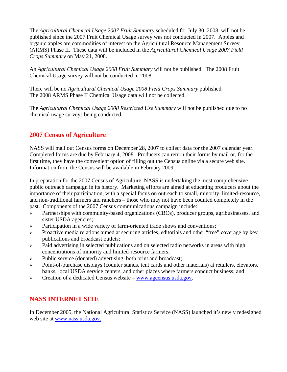The *Agricultural Chemical Usage 2007 Fruit Summary* scheduled for July 30, 2008, will not be published since the 2007 Fruit Chemical Usage survey was not conducted in 2007. Apples and organic apples are commodities of interest on the Agricultural Resource Management Survey (ARMS) Phase II. These data will be included in the *Agricultural Chemical Usage 2007 Field Crops Summary* on May 21, 2008.

An *Agricultural Chemical Usage 2008 Fruit Summary* will not be published. The 2008 Fruit Chemical Usage survey will not be conducted in 2008.

There will be no *Agricultural Chemical Usage 2008 Field Crops Summary* published. The 2008 ARMS Phase II Chemical Usage data will not be collected.

The *Agricultural Chemical Usage 2008 Restricted Use Summary* will not be published due to no chemical usage surveys being conducted.

# **2007 Census of Agriculture**

NASS will mail out Census forms on December 28, 2007 to collect data for the 2007 calendar year. Completed forms are due by February 4, 2008. Producers can return their forms by mail or, for the first time, they have the convenient option of filling out the Census online via a secure web site. Information from the Census will be available in February 2009.

In preparation for the 2007 Census of Agriculture, NASS is undertaking the most comprehensive public outreach campaign in its history. Marketing efforts are aimed at educating producers about the importance of their participation, with a special focus on outreach to small, minority, limited-resource, and non-traditional farmers and ranchers – those who may not have been counted completely in the past. Components of the 2007 Census communications campaign include:

- $\triangleright$  Partnerships with community-based organizations (CBOs), producer groups, agribusinesses, and sister USDA agencies;
- $\triangleright$  Participation in a wide variety of farm-oriented trade shows and conventions;
- <sup>¾</sup> Proactive media relations aimed at securing articles, editorials and other "free" coverage by key publications and broadcast outlets;
- <sup>¾</sup> Paid advertising in selected publications and on selected radio networks in areas with high concentrations of minority and limited-resource farmers;
- <sup>¾</sup> Public service (donated) advertising, both print and broadcast;
- <sup>¾</sup> Point-of-purchase displays (counter stands, tent cards and other materials) at retailers, elevators, banks, local USDA service centers, and other places where farmers conduct business; and
- $\triangleright$  Creation of a dedicated Census website [www.agcensus.usda.gov](http://www.agcensus.usda.gov/).

# **NASS INTERNET SITE**

In December 2005, the National Agricultural Statistics Service (NASS) launched it's newly redesigned web site at [www.nass.usda.gov.](http://www.nass.usda.gov./)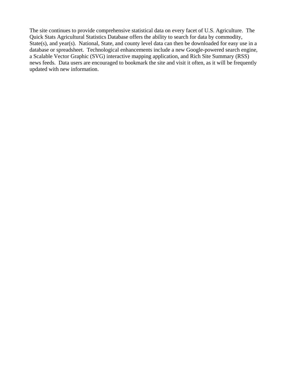The site continues to provide comprehensive statistical data on every facet of U.S. Agriculture. The Quick Stats Agricultural Statistics Database offers the ability to search for data by commodity, State(s), and year(s). National, State, and county level data can then be downloaded for easy use in a database or spreadsheet. Technological enhancements include a new Google-powered search engine, a Scalable Vector Graphic (SVG) interactive mapping application, and Rich Site Summary (RSS) news feeds. Data users are encouraged to bookmark the site and visit it often, as it will be frequently updated with new information.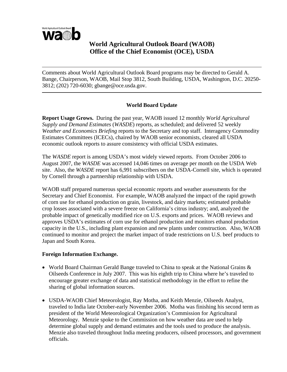

# **World Agricultural Outlook Board (WAOB) Office of the Chief Economist (OCE), USDA**

Comments about World Agricultural Outlook Board programs may be directed to Gerald A. Bange, Chairperson, WAOB, Mail Stop 3812, South Building, USDA, Washington, D.C. 20250- 3812; (202) 720-6030; gbange@oce.usda.gov.

# **World Board Update**

**Report Usage Grows.** During the past year, WAOB issued 12 monthly *World Agricultural Supply and Demand Estimates* (*WASDE*) reports, as scheduled; and delivered 52 weekly *Weather and Economics Briefing* reports to the Secretary and top staff. Interagency Commodity Estimates Committees (ICECs), chaired by WAOB senior economists, cleared all USDA economic outlook reports to assure consistency with official USDA estimates.

The *WASDE* report is among USDA's most widely viewed reports. From October 2006 to August 2007, the *WASDE* was accessed 14,046 times on average per month on the USDA Web site. Also, the *WASDE* report has 6,991 subscribers on the USDA-Cornell site, which is operated by Cornell through a partnership relationship with USDA.

WAOB staff prepared numerous special economic reports and weather assessments for the Secretary and Chief Economist. For example, WAOB analyzed the impact of the rapid growth of corn use for ethanol production on grain, livestock, and dairy markets; estimated probable crop losses associated with a severe freeze on California's citrus industry; and, analyzed the probable impact of genetically modified rice on U.S. exports and prices. WAOB reviews and approves USDA's estimates of corn use for ethanol production and monitors ethanol production capacity in the U.S., including plant expansion and new plants under construction. Also, WAOB continued to monitor and project the market impact of trade restrictions on U.S. beef products to Japan and South Korea.

# **Foreign Information Exchange.**

- World Board Chairman Gerald Bange traveled to China to speak at the National Grains & Oilseeds Conference in July 2007. This was his eighth trip to China where he's traveled to encourage greater exchange of data and statistical methodology in the effort to refine the sharing of global information sources.
- USDA-WAOB Chief Meteorologist, Ray Motha, and Keith Menzie, Oilseeds Analyst, traveled to India late October-early November 2006. Motha was finishing his second term as president of the World Meteorological Organization's Commission for Agricultural Meteorology. Menzie spoke to the Commission on how weather data are used to help determine global supply and demand estimates and the tools used to produce the analysis. Menzie also traveled throughout India meeting producers, oilseed processors, and government officials.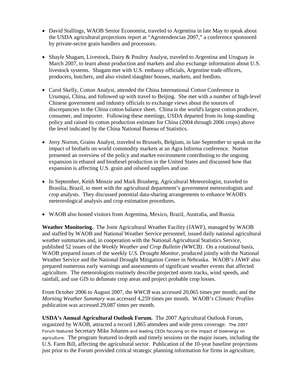- David Stallings, WAOB Senior Economist, traveled to Argentina in late May to speak about the USDA agricultural projections report at "Agrotendencias 2007," a conference sponsored by private-sector grain handlers and processors.
- Shayle Shagam, Livestock, Dairy & Poultry Analyst, traveled to Argentina and Uruguay in March 2007, to learn about production and markets and also exchange information about U.S. livestock systems. Shagam met with U.S. embassy officials, Argentine trade officers, producers, butchers, and also visited slaughter houses, markets, and feedlots.
- Carol Skelly, Cotton Analyst, attended the China International Cotton Conference in Urumqui, China, and followed up with travel to Beijing. She met with a number of high-level Chinese government and industry officials to exchange views about the sources of discrepancies in the China cotton balance sheet. China is the world's largest cotton producer, consumer, and importer. Following these meetings, USDA departed from its long-standing policy and raised its cotton production estimate for China (2004 through 2006 crops) above the level indicated by the China National Bureau of Statistics.
- Jerry Norton, Grains Analyst, traveled to Brussels, Belgium, in late September to speak on the impact of biofuels on world commodity markets at an Agra Informa conference. Norton presented an overview of the policy and market environment contributing to the ongoing expansion in ethanol and biodiesel production in the United States and discussed how that expansion is affecting U.S. grain and oilseed supplies and use.
- In September, Keith Menzie and Mark Brusberg, Agricultural Meteorologist, traveled to Brasilia, Brazil, to meet with the agricultural department's government meteorologists and crop analysts. They discussed potential data-sharing arrangements to enhance WAOB's meteorological analysis and crop estimation procedures.
- WAOB also hosted visitors from Argentina, Mexico, Brazil, Australia, and Russia.

**Weather Monitoring.** The Joint Agricultural Weather Facility (JAWF), managed by WAOB and staffed by WAOB and National Weather Service personnel, issued daily national agricultural weather summaries and, in cooperation with the National Agricultural Statistics Service, published 52 issues of the *Weekly Weather and Crop Bulletin (WWCB)*. On a rotational basis, WAOB prepared issues of the weekly *U.S. Drought Monitor*, produced jointly with the National Weather Service and the National Drought Mitigation Center in Nebraska. WAOB's JAWF also prepared numerous early warnings and assessments of significant weather events that affected agriculture. The meteorologists routinely describe projected storm tracks, wind speeds, and rainfall, and use GIS to delineate crop areas and project probable crop losses.

From October 2006 to August 2007, the *WWCB* was accessed 20,065 times per month; and the *Morning Weather Summary* was accessed 4,259 times per month. WAOB's *Climatic Profiles* publication was accessed 29,087 times per month.

**USDA's Annual Agricultural Outlook Forum.** The 2007 Agricultural Outlook Forum, organized by WAOB, attracted a record 1,865 attendees and wide press coverage. The 2007 Forum featured Secretary Mike Johanns and leading CEOs focusing on the impact of bioenergy on agriculture. The program featured in-depth and timely sessions on the major issues, including the U.S. Farm Bill, affecting the agricultural sector. Publication of the 10-year baseline projections just prior to the Forum provided critical strategic planning information for firms in agriculture,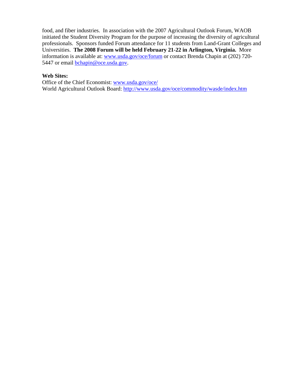food, and fiber industries. In association with the 2007 Agricultural Outlook Forum, WAOB initiated the Student Diversity Program for the purpose of increasing the diversity of agricultural professionals. Sponsors funded Forum attendance for 11 students from Land-Grant Colleges and Universities. **The 2008 Forum will be held February 21-22 in Arlington, Virginia.** More information is available at: [www.usda.gov/oce/forum](http://www.usda.gov/oce/forum) or contact Brenda Chapin at (202) 720 5447 or email [bchapin@oce.usda.gov](mailto:bchapin@oce.usda.gov).

# **Web Sites:**

Office of the Chief Economist: [www.usda.gov/oce/](http://www.usda.gov/oce/)  World Agricultural Outlook Board:<http://www.usda.gov/oce/commodity/wasde/index.htm>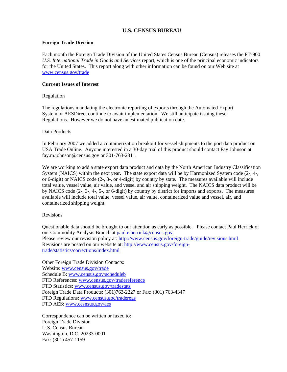## **U.S. CENSUS BUREAU**

#### **Foreign Trade Division**

Each month the Foreign Trade Division of the United States Census Bureau (Census) releases the FT-900 *U.S. International Trade in Goods and Services* report, which is one of the principal economic indicators for the United States. This report along with other information can be found on our Web site at [www.census.gov/trade](http://www.census.gov/trade)

#### **Current Issues of Interest**

#### Regulation

The regulations mandating the electronic reporting of exports through the Automated Export System or AESDirect continue to await implementation. We still anticipate issuing these Regulations. However we do not have an estimated publication date.

#### Data Products

In February 2007 we added a containerization breakout for vessel shipments to the port data product on USA Trade Online. Anyone interested in a 30-day trial of this product should contact Fay Johnson at fay.m.johnson@census.gov or 301-763-2311.

We are working to add a state export data product and data by the North American Industry Classification System (NAICS) within the next year. The state export data will be by Harmonized System code (2-, 4-, or 6-digit) or NAICS code (2-, 3-, or 4-digit) by country by state. The measures available will include total value, vessel value, air value, and vessel and air shipping weight. The NAICS data product will be by NAICS code (2-, 3-, 4-, 5-, or 6-digit) by country by district for imports and exports. The measures available will include total value, vessel value, air value, containerized value and vessel, air, and containerized shipping weight.

#### Revisions

Questionable data should be brought to our attention as early as possible. Please contact Paul Herrick of our Commodity Analysis Branch at [paul.e.herrick@census.gov](mailto:paul.e.herrick@census.gov). Please review our revision policy at:<http://www.census.gov/foreign-trade/guide/revisions.html> Revisions are posted on our website at: [http://www.census.gov/foreign](http://www.census.gov/foreign-trade/statistics/corrections/index.html)[trade/statistics/corrections/index.html](http://www.census.gov/foreign-trade/statistics/corrections/index.html)

Other Foreign Trade Division Contacts: Website: [www.census.gov/trade](http://www.census.gov/trade) Schedule B: [www.census.gov/scheduleb](http://www.census.gov/scheduleb) FTD References: [www.census.gov/tradereference](http://www.census.gov/tradereference) FTD Statistics: [www.census.gov/tradestats](http://www.census.gov/tradestats) Foreign Trade Data Products: (301)763-2227 or Fax: (301) 763-4347 FTD Regulations: [www.census.goc/traderegs](http://www.census.goc/traderegs) FTD AES: [www.cesnsus.gov/aes](http://www.cesnsus.gov/aes)

Correspondence can be written or faxed to: Foreign Trade Division U.S. Census Bureau Washington, D.C. 20233-0001 Fax: (301) 457-1159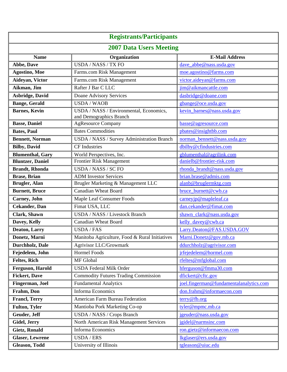| <b>Registrants/Participants</b> |                                                                    |                                         |  |
|---------------------------------|--------------------------------------------------------------------|-----------------------------------------|--|
|                                 |                                                                    |                                         |  |
| <b>2007 Data Users Meeting</b>  |                                                                    |                                         |  |
| <b>Name</b>                     | Organization                                                       | <b>E-Mail Address</b>                   |  |
| Abbe, Dave                      | <b>USDA / NASS / TX FO</b>                                         | dave_abbe@nass.usda.gov                 |  |
| <b>Agostino, Moe</b>            | Farms.com Risk Management                                          | moe.agostino@farms.com                  |  |
| Aideyan, Victor                 | Farms.com Risk Management                                          | victor.aideyan@farms.com                |  |
| Aikman, Jim                     | Rafter J Bar C LLC                                                 | jim@aikmancattle.com                    |  |
| <b>Asbridge, David</b>          | Doane Advisory Services                                            | dasbridge@doane.com                     |  |
| <b>Bange</b> , Gerald           | <b>USDA/WAOB</b>                                                   | gbange@oce.usda.gov                     |  |
| <b>Barnes, Kevin</b>            | USDA / NASS / Environmental, Economics,<br>and Demographics Branch | kevin_barnes@nass.usda.gov              |  |
| <b>Basse, Daniel</b>            | <b>AgResource Company</b>                                          | basse@agresource.com                    |  |
| <b>Bates, Paul</b>              | <b>Bates Commodities</b>                                           | pbates@insightbb.com                    |  |
| <b>Bennett, Norman</b>          | USDA / NASS / Survey Administration Branch                         | norman_bennett@nass.usda.gov            |  |
| <b>Bilby, David</b>             | <b>CF</b> Industries                                               | dbilby@cfindustries.com                 |  |
| <b>Blumenthal, Gary</b>         | World Perspectives, Inc.                                           | gblumenthal@agrilink.com                |  |
| <b>Bluntzer</b> , Daniel        | Frontier Risk Management                                           | danielb@frontier-risk.com               |  |
| <b>Brandt</b> , Rhonda          | USDA / NASS / SC FO                                                | rhonda_brandt@nass.usda.gov             |  |
| <b>Brase</b> , Brian            | <b>ADM</b> Investor Services                                       | brian.brase@admis.com                   |  |
| Brugler, Alan                   | Brugler Marketing & Management LLC                                 | alanb@bruglermktg.com                   |  |
| <b>Burnett</b> , Bruce          | <b>Canadian Wheat Board</b>                                        | bruce_burnett@cwb.ca                    |  |
| Carney, John                    | Maple Leaf Consumer Foods                                          | carneyip@mapleleaf.ca                   |  |
| <b>Cekander</b> , Dan           | Fimat USA, LLC                                                     | dan.cekander@fimat.com                  |  |
| <b>Clark, Shawn</b>             | <b>USDA / NASS / Livestock Branch</b>                              | shawn clark@nass.usda.gov               |  |
| Davey, Kelly                    | <b>Canadian Wheat Board</b>                                        | kelly davey@cwb.ca                      |  |
| <b>Deaton, Larry</b>            | <b>USDA/FAS</b>                                                    | Larry.Deaton@FAS.USDA.GOV               |  |
| Donetz, Marni                   | Manitoba Agriculture, Food & Rural Initiatives                     | Marni.Donetz@gov.mb.ca                  |  |
| Durchholz, Dale                 | Agrivisor LLC/Growmark                                             | ddurchholz@agrivisor.com                |  |
| Fejedelem, John                 | <b>Hormel Foods</b>                                                | jrfejedelem@hormel.com                  |  |
| Feltes, Rich                    | MF Global                                                          | rfeltes@mfglobal.com                    |  |
| Ferguson, Harold                | <b>USDA Federal Milk Order</b>                                     | hferguson@fmma30.com                    |  |
| <b>Fickert, Dave</b>            | <b>Commodity Futures Trading Commission</b>                        | dfickert@cftc.gov                       |  |
| Fingerman, Joel                 | <b>Fundamental Analytics</b>                                       | joel.fingerman@fundamentalanalytics.com |  |
| Frahm, Don                      | <b>Informa Economics</b>                                           | don.frahm@informaecon.com               |  |
| <b>Francl, Terry</b>            | <b>American Farm Bureau Federation</b>                             | terry@fb.org                            |  |
| Fulton, Tyler                   | Mantioba Pork Marketing Co-op                                      | tyler@mpmc.mb.ca                        |  |
| Geuder, Jeff                    | USDA / NASS / Crops Branch                                         | jgeuder@nass.usda.gov                   |  |
| Gidel, Jerry                    | North American Risk Management Services                            | jgidel@narmsinc.com                     |  |
| <b>Gietz, Ronald</b>            | <b>Informa Economics</b>                                           | ron.gietz@informaecon.com               |  |
| <b>Glaser, Lewrene</b>          | <b>USDA/ERS</b>                                                    | lkglaser@ers.usda.gov                   |  |
| <b>Gleason, Todd</b>            | University of Illinois                                             | tgleason@uiuc.edu                       |  |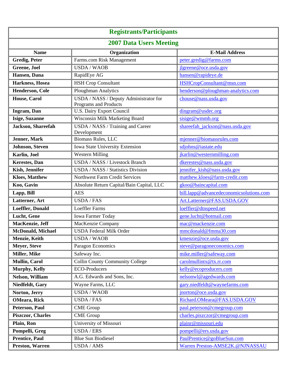| <b>Registrants/Participants</b> |                                                                        |                                         |
|---------------------------------|------------------------------------------------------------------------|-----------------------------------------|
| <b>2007 Data Users Meeting</b>  |                                                                        |                                         |
| <b>Name</b>                     | Organization                                                           | <b>E-Mail Address</b>                   |
| <b>Gredig, Peter</b>            | Farms.com Risk Management                                              | peter.gredig@farms.com                  |
| Greene, Joel                    | <b>USDA/WAOB</b>                                                       | jlgreene@oce.usda.gov                   |
| Hansen, Dana                    | RapidEye AG                                                            | hansen@rapideye.de                      |
| Harkness, Hosea                 | <b>HSH Crop Consultant</b>                                             | HSHCropConsultant@msn.com               |
| Henderson, Cole                 | Ploughman Analytics                                                    | henderson@ploughman-analytics.com       |
| House, Carol                    | USDA / NASS / Deputy Administrator for<br><b>Programs and Products</b> | chouse@nass.usda.gov                    |
| Ingram, Dan                     | U.S. Dairy Export Council                                              | dingram@usdec.org                       |
| <b>Isige, Suzanne</b>           | Wisconsin Milk Marketing Board                                         | sisige@wmmb.org                         |
| Jackson, Shareefah              | USDA / NASS / Training and Career<br>Development                       | shareefah_jackson@nass.usda.gov         |
| <b>Jenner</b> , Mark            | <b>Biomass Rules, LLC</b>                                              | mjenner@biomassrules.com                |
| <b>Johnson</b> , Steven         | <b>Iowa State University Extension</b>                                 | sdjohns@iastate.edu                     |
| Karlin, Joel                    | <b>Western Milling</b>                                                 | jkarlin@westernmilling.com              |
| <b>Kerestes</b> , Dan           | USDA / NASS / Livestock Branch                                         | dkerestes@nass.usda.gov                 |
| Kish, Jennifer                  | USDA / NASS / Statistics Division                                      | jennifer_kish@nass.usda.gov             |
| <b>Kloes, Matthew</b>           | <b>Northwest Farm Credit Services</b>                                  | matthew.kloes@farm-credit.com           |
| Koo, Gavin                      | Absolute Return Capital/Bain Capital, LLC                              | gkoo@baincapital.com                    |
| Lapp, Bill                      | <b>AES</b>                                                             | bill.lapp@advancedeconomicsolutions.com |
| Latterner, Art                  | <b>USDA/FAS</b>                                                        | Art.Latterner@FAS.USDA.GOV              |
| Loeffler, Donald                | <b>Loeffler Farms</b>                                                  | loeffler@dtnspeed.net                   |
| Lucht, Gene                     | <b>Iowa Farmer Today</b>                                               | gene.lucht@hotmail.com                  |
| MacKenzie, Jeff                 | MacKenzie Company                                                      | mac@mackenzie.com                       |
| <b>McDonald</b> , Michael       | <b>USDA Federal Milk Order</b>                                         | mmcdonald@fmma30.com                    |
| Menzie, Keith                   | <b>USDA/WAOB</b>                                                       | kmenzie@oce.usda.gov                    |
| <b>Meyer, Steve</b>             | Paragon Economics                                                      | steve@paragoneconomics.com              |
| Miller, Mike                    | Safeway Inc.                                                           | mike.miller@safeway.com                 |
| <b>Mullin, Carol</b>            | <b>Collin County Community College</b>                                 | $cardmu$ llintx@tx.rr.com               |
| Murphy, Kelly                   | <b>ECO-Producers</b>                                                   | kelly@ecoproducers.com                  |
| <b>Nelson, William</b>          | A.G. Edwards and Sons, Inc.                                            | nelsonwl@agedwards.com                  |
| Niedfeldt, Gary                 | Wayne Farms, LLC                                                       | gary.niedfeldt@waynefarms.com           |
| Norton, Jerry                   | <b>USDA/WAOB</b>                                                       | jnorton@oce.usda.gov                    |
| <b>OMeara</b> , Rick            | <b>USDA/FAS</b>                                                        | Richard.OMeara@FAS.USDA.GOV             |
| Peterson, Paul                  | <b>CME</b> Group                                                       | paul.peterson@cmegroup.com              |
| <b>Piszczor</b> , Charles       | <b>CME</b> Group                                                       | charles.piszczor@cmegroup.com           |
| Plain, Ron                      | University of Missouri                                                 | plainr@missouri.edu                     |
| Pompelli, Greg                  | <b>USDA/ERS</b>                                                        | pompelli@ers.usda.gov                   |
| <b>Prentice, Paul</b>           | <b>Blue Sun Biodiesel</b>                                              | PaulPrentice@goBlueSun.com              |
| Preston, Warren                 | <b>USDA / AMS</b>                                                      | Warren Preston-AMSE2K.@NJNASSAU         |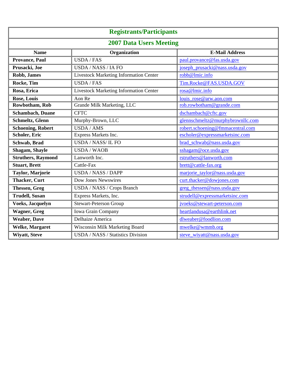| <b>Registrants/Participants</b> |                                        |                                  |  |
|---------------------------------|----------------------------------------|----------------------------------|--|
| <b>2007 Data Users Meeting</b>  |                                        |                                  |  |
| <b>Name</b>                     | Organization                           | <b>E-Mail Address</b>            |  |
| Provance, Paul                  | <b>USDA/FAS</b>                        | paul.provance@fas.usda.gov       |  |
| Prusacki, Joe                   | <b>USDA / NASS / IA FO</b>             | joseph_prusacki@nass.usda.gov    |  |
| <b>Robb, James</b>              | Livestock Marketing Information Center | robb@lmic.info                   |  |
| Rocke, Tim                      | <b>USDA/FAS</b>                        | Tim.Rocke@FAS.USDA.GOV           |  |
| Rosa, Erica                     | Livestock Marketing Information Center | rosa@lmic.info                   |  |
| <b>Rose, Louis</b>              | Aon Re                                 | louis_rose@arw.aon.com           |  |
| Rowbotham, Rob                  | Grande Milk Marketing, LLC             | rob.rowbotham@grande.com         |  |
| <b>Schambach</b> , Duane        | <b>CFTC</b>                            | dschambach@cftc.gov              |  |
| Schmeltz, Glenn                 | Murphy-Brown, LLC                      | glennschmeltz@murphybrownllc.com |  |
| <b>Schoening, Robert</b>        | <b>USDA / AMS</b>                      | robert.schoening@fmmacentral.com |  |
| <b>Scholer, Eric</b>            | Express Markets Inc.                   | escholer@expressmarketsinc.com   |  |
| Schwab, Brad                    | USDA / NASS/ IL FO                     | brad schwab@nass.usda.gov        |  |
| <b>Shagam, Shayle</b>           | <b>USDA/WAOB</b>                       | sshagam@oce.usda.gov             |  |
| <b>Struthers, Raymond</b>       | Lanworth Inc.                          | rstruthers@lanworth.com          |  |
| <b>Stuart, Brett</b>            | Cattle-Fax                             | brett@cattle-fax.org             |  |
| Taylor, Marjorie                | <b>USDA / NASS / DAPP</b>              | marjorie taylor@nass.usda.gov    |  |
| <b>Thacker, Curt</b>            | Dow Jones Newswires                    | curt.thacker@dowjones.com        |  |
| <b>Thessen</b> , Greg           | USDA / NASS / Crops Branch             | greg_thessen@nass.usda.gov       |  |
| <b>Trudell, Susan</b>           | Express Markets, Inc.                  | strudell@expressmarketsinc.com   |  |
| <b>Voeks, Jacquelyn</b>         | <b>Stewart-Peterson Group</b>          | jvoeks@stewart-peterson.com      |  |
| <b>Wagner</b> , Greg            | Iowa Grain Company                     | heartlandusa@earthlink.net       |  |
| <b>Weaber</b> , Dave            | Delhaize America                       | dlweaber@foodlion.com            |  |
| <b>Welke, Margaret</b>          | Wisconsin Milk Marketing Board         | mwelke@wmmb.org                  |  |
| <b>Wiyatt, Steve</b>            | USDA / NASS / Statistics Division      | steve_wiyatt@nass.usda.gov       |  |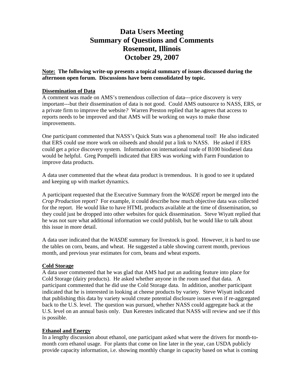# **Data Users Meeting Summary of Questions and Comments Rosemont, Illinois October 29, 2007**

**Note: The following write-up presents a topical summary of issues discussed during the afternoon open forum. Discussions have been consolidated by topic.** 

# **Dissemination of Data**

A comment was made on AMS's tremendous collection of data---price discovery is very important---but their dissemination of data is not good. Could AMS outsource to NASS, ERS, or a private firm to improve the website*?* Warren Preston replied that he agrees that access to reports needs to be improved and that AMS will be working on ways to make those improvements.

One participant commented that NASS's Quick Stats was a phenomenal tool! He also indicated that ERS could use more work on oilseeds and should put a link to NASS. He asked if ERS could get a price discovery system. Information on international trade of B100 biodiesel data would be helpful. Greg Pompelli indicated that ERS was working with Farm Foundation to improve data products.

A data user commented that the wheat data product is tremendous. It is good to see it updated and keeping up with market dynamics.

A participant requested that the Executive Summary from the *WASDE* report be merged into the *Crop Production* report? For example, it could describe how much objective data was collected for the report. He would like to have HTML products available at the time of dissemination, so they could just be dropped into other websites for quick dissemination. Steve Wiyatt replied that he was not sure what additional information we could publish, but he would like to talk about this issue in more detail.

A data user indicated that the *WASDE* summary for livestock is good. However, it is hard to use the tables on corn, beans, and wheat. He suggested a table showing current month, previous month, and previous year estimates for corn, beans and wheat exports.

# **Cold Storage**

A data user commented that he was glad that AMS had put an auditing feature into place for Cold Storage (dairy products). He asked whether anyone in the room used that data. A participant commented that he did use the Cold Storage data. In addition, another participant indicated that he is interested in looking at cheese products by variety. Steve Wiyatt indicated that publishing this data by variety would create potential disclosure issues even if re-aggregated back to the U.S. level. The question was pursued, whether NASS could aggregate back at the U.S. level on an annual basis only.Dan Kerestes indicated that NASS will review and see if this is possible.

# **Ethanol and Energy**

In a lengthy discussion about ethanol, one participant asked what were the drivers for month-tomonth corn ethanol usage. For plants that come on line later in the year, can USDA publicly provide capacity information, i.e. showing monthly change in capacity based on what is coming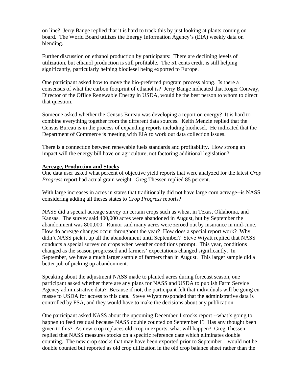on line? Jerry Bange replied that it is hard to track this by just looking at plants coming on board. The World Board utilizes the Energy Information Agency's (EIA) weekly data on blending.

Further discussion on ethanol production by participants: There are declining levels of utilization, but ethanol production is still profitable. The 51 cents credit is still helping significantly, particularly helping biodiesel being exported to Europe.

One participant asked how to move the bio-preferred program process along. Is there a consensus of what the carbon footprint of ethanol is? Jerry Bange indicated that Roger Conway, Director of the Office Renewable Energy in USDA, would be the best person to whom to direct that question.

Someone asked whether the Census Bureau was developing a report on energy? It is hard to combine everything together from the different data sources. Keith Menzie replied that the Census Bureau is in the process of expanding reports including biodiesel. He indicated that the Department of Commerce is meeting with EIA to work out data collection issues.

There is a connection between renewable fuels standards and profitability. How strong an impact will the energy bill have on agriculture, not factoring additional legislation?

# **Acreage, Production and Stocks**

One data user asked what percent of objective yield reports that were analyzed for the latest *Crop Progress* report had actual grain weight*.* Greg Thessen replied 85 percent.

With large increases in acres in states that traditionally did not have large corn acreage--is NASS considering adding all theses states to *Crop Progress* reports?

NASS did a special acreage survey on certain crops such as wheat in Texas, Oklahoma, and Kansas. The survey said 400,000 acres were abandoned in August, but by September the abandonment was 800,000. Rumor said many acres were zeroed out by insurance in mid-June. How do acreage changes occur throughout the year? How does a special report work? Why didn't NASS pick it up all the abandonment until September? Steve Wiyatt replied that NASS conducts a special survey on crops when weather conditions prompt. This year, conditions changed as the season progressed and farmers' expectations changed significantly. In September, we have a much larger sample of farmers than in August. This larger sample did a better job of picking up abandonment.

Speaking about the adjustment NASS made to planted acres during forecast season, one participant asked whether there are any plans for NASS and USDA to publish Farm Service Agency administrative data? Because if not, the participant felt that individuals will be going en masse to USDA for access to this data. Steve Wiyatt responded that the administrative data is controlled by FSA, and they would have to make the decisions about any publication.

One participant asked NASS about the upcoming December 1 stocks report --what's going to happen to feed residual because NASS double counted on September 1? Has any thought been given to this? As new crop replaces old crop in exports, what will happen? Greg Thessen replied that NASS measures stocks on a specific reference date which eliminates double counting. The new crop stocks that may have been exported prior to September 1 would not be double counted but reported as old crop utilization in the old crop balance sheet rather than the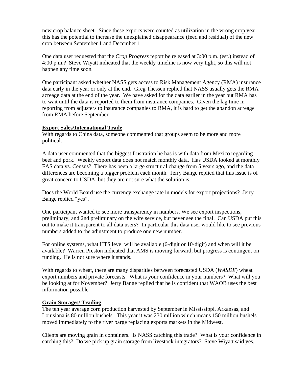new crop balance sheet. Since these exports were counted as utilization in the wrong crop year, this has the potential to increase the unexplained disappearance (feed and residual) of the new crop between September 1 and December 1.

One data user requested that the *Crop Progress* report be released at 3:00 p.m. (est.) instead of 4:00 p.m.? Steve Wiyatt indicated that the weekly timeline is now very tight, so this will not happen any time soon.

One participant asked whether NASS gets access to Risk Management Agency (RMA) insurance data early in the year or only at the end. Greg Thessen replied that NASS usually gets the RMA acreage data at the end of the year. We have asked for the data earlier in the year but RMA has to wait until the data is reported to them from insurance companies. Given the lag time in reporting from adjusters to insurance companies to RMA, it is hard to get the abandon acreage from RMA before September.

# **Export Sales/International Trade**

With regards to China data, someone commented that groups seem to be more and more political.

A data user commented that the biggest frustration he has is with data from Mexico regarding beef and pork. Weekly export data does not match monthly data. Has USDA looked at monthly FAS data vs. Census? There has been a large structural change from 5 years ago, and the data differences are becoming a bigger problem each month. Jerry Bange replied that this issue is of great concern to USDA, but they are not sure what the solution is.

Does the World Board use the currency exchange rate in models for export projections? Jerry Bange replied "yes".

One participant wanted to see more transparency in numbers. We see export inspections, preliminary, and 2nd preliminary on the wire service, but never see the final. Can USDA put this out to make it transparent to all data users? In particular this data user would like to see previous numbers added to the adjustment to produce one new number.

For online systems, what HTS level will be available (6-digit or 10-digit) and when will it be available? Warren Preston indicated that AMS is moving forward, but progress is contingent on funding. He is not sure where it stands.

With regards to wheat, there are many disparities between forecasted USDA (*WASDE*) wheat export numbers and private forecasts. What is your confidence in your numbers? What will you be looking at for November? Jerry Bange replied that he is confident that WAOB uses the best information possible

# **Grain Storages/ Trading**

The ten year average corn production harvested by September in Mississippi, Arkansas, and Louisiana is 80 million bushels. This year it was 230 million which means 150 million bushels moved immediately to the river barge replacing exports markets in the Midwest.

Clients are moving grain in containers. Is NASS catching this trade? What is your confidence in catching this? Do we pick up grain storage from livestock integrators? Steve Wiyatt said yes,